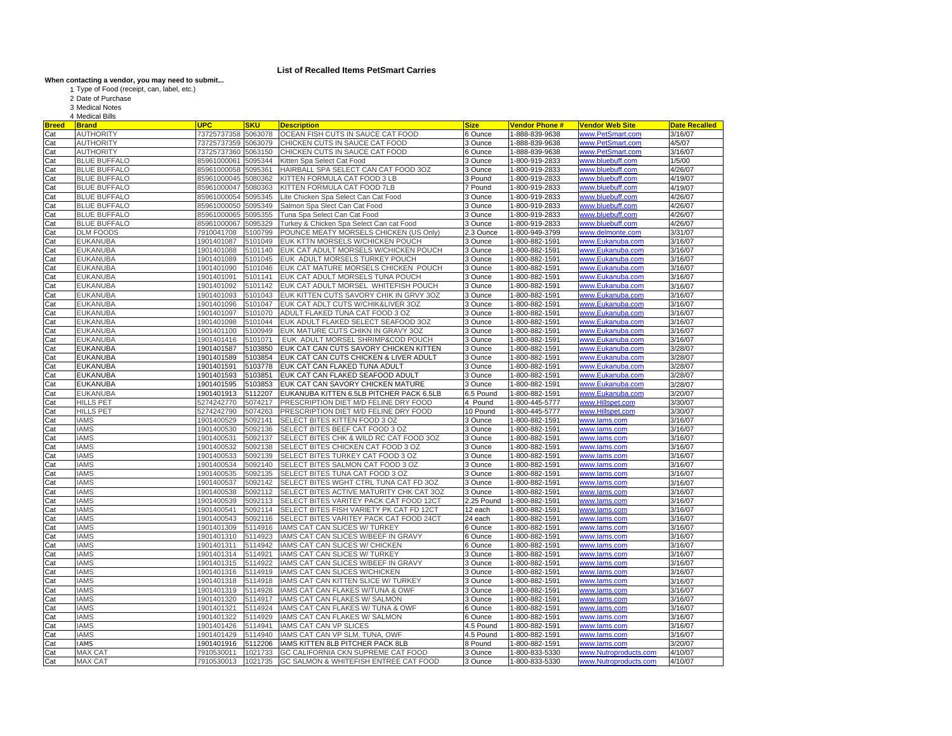## **List of Recalled Items PetSmart Carries**

## **When contacting a vendor, you may need to submit...** Type of Food (receipt, can, label, etc.)

1 2 Date of Purchase

3 Medical Notes

|  | 4 Medical Bills |  |
|--|-----------------|--|
|--|-----------------|--|

| <b>Breed</b> | <b>Brand</b>        | <b>UPC</b>  | SKU     | <b>Description</b>                       | <b>Size</b>        | <b>Vendor Phone#</b>            | <u>Vendor Web Site</u>       | <b>Date Recalled</b> |
|--------------|---------------------|-------------|---------|------------------------------------------|--------------------|---------------------------------|------------------------------|----------------------|
| Cat          | <b>AUTHORITY</b>    | 73725737358 | 5063078 | OCEAN FISH CUTS IN SAUCE CAT FOOD        | 6 Ounce            | 1-888-839-9638                  | www.PetSmart.com             | 3/16/07              |
| Cat          | <b>AUTHORITY</b>    | 73725737359 | 5063079 | CHICKEN CUTS IN SAUCE CAT FOOD           | 3 Ounce            | -888-839-9638                   | www.PetSmart.com             | 4/5/07               |
| Cat          | <b>AUTHORITY</b>    | 73725737360 | 5063150 | CHICKEN CUTS IN SAUCE CAT FOOD           | 6 Ounce            | -888-839-9638                   | www.PetSmart.com             | 3/16/07              |
| Cat          | <b>BLUE BUFFALO</b> | 85961000061 | 5095344 | Kitten Spa Select Cat Food               | 3 Ounce            | -800-919-2833                   | www.bluebuff.com             | 1/5/00               |
| Cat          | <b>BLUE BUFFALO</b> | 85961000058 | 5095361 | HAIRBALL SPA SELECT CAN CAT FOOD 3OZ     | 3 Ounce            | -800-919-2833                   | www.bluebuff.com             | 4/26/07              |
| Cat          | <b>BLUE BUFFALO</b> | 85961000045 | 5080362 | KITTEN FORMULA CAT FOOD 3 LB             | 3 Pound            | -800-919-2833                   | www.bluebuff.com             | 4/19/07              |
| Cat          | <b>BLUE BUFFALO</b> | 85961000047 | 5080363 | KITTEN FORMULA CAT FOOD 7LB              | 7 Pound            | 1-800-919-2833                  | www.bluebuff.com             | 4/19/07              |
| Cat          | <b>BLUE BUFFALO</b> | 85961000054 | 5095345 | Lite Chicken Spa Select Can Cat Food     | 3 Ounce            | 1-800-919-2833                  | www.bluebuff.com             | 4/26/07              |
| Cat          | <b>BLUE BUFFALO</b> | 85961000050 | 5095349 | Salmon Spa Slect Can Cat Food            | 3 Ounce            | -800-919-2833                   | www.bluebuff.com             | 4/26/07              |
| Cat          | <b>BLUE BUFFALO</b> | 85961000065 | 5095355 | Tuna Spa Select Can Cat Food             | 3 Ounce            | -800-919-2833                   | www.bluebuff.com             | 4/26/07              |
| Cat          | <b>BLUE BUFFALO</b> | 85961000067 | 5095329 | Turkey & Chicken Spa Select Can cat Food | 3 Ounce            | -800-919-2833                   | www.bluebuff.com             | 4/26/07              |
| Cat          | <b>DLM FOODS</b>    | 7910041708  | 5100799 | POUNCE MEATY MORSELS CHICKEN (US Only)   | 2.3 Ounce          | -800-949-3799                   | www.delmonte.com             | 3/31/07              |
| Cat          | <b>EUKANUBA</b>     | 1901401087  | 5101049 | EUK KTTN MORSELS W/CHICKEN POUCH         | 3 Ounce            | -800-882-1591                   | www.Eukanuba.com             | 3/16/07              |
| Cat          | <b>EUKANUBA</b>     | 1901401088  | 5101140 | EUK CAT ADULT MORSELS W/CHICKEN POUCH    | 3 Ounce            | 1-800-882-1591                  | www.Eukanuba.com             | 3/16/07              |
| Cat          | <b>EUKANUBA</b>     | 1901401089  | 5101045 | EUK ADULT MORSELS TURKEY POUCH           | 3 Ounce            | -800-882-1591                   | www.Eukanuba.com             | 3/16/07              |
| Cat          | <b>EUKANUBA</b>     | 1901401090  | 5101046 | EUK CAT MATURE MORSELS CHICKEN POUCH     | 3 Ounce            | -800-882-1591                   | www.Eukanuba.com             | 3/16/07              |
| Cat          | <b>EUKANUBA</b>     | 1901401091  | 5101141 | EUK CAT ADULT MORSELS TUNA POUCH         | 3 Ounce            | -800-882-1591                   | www.Eukanuba.com             | 3/16/07              |
| Cat          | <b>EUKANUBA</b>     | 1901401092  | 5101142 | EUK CAT ADULT MORSEL WHITEFISH POUCH     | 3 Ounce            | 1-800-882-1591                  | www.Eukanuba.com             | 3/16/07              |
| Cat          | <b>EUKANUBA</b>     | 1901401093  | 5101043 | EUK KITTEN CUTS SAVORY CHIK IN GRVY 30Z  | 3 Ounce            | -800-882-1591                   | www.Eukanuba.com             | 3/16/07              |
| Cat          | <b>EUKANUBA</b>     | 1901401096  | 5101047 | EUK CAT ADLT CUTS W/CHIK&LIVER 3OZ       | 3 Ounce            | 1-800-882-1591                  | www.Eukanuba.com             | 3/16/07              |
| Cat          | <b>EUKANUBA</b>     | 1901401097  | 5101070 | ADULT FLAKED TUNA CAT FOOD 3 OZ          | 3 Ounce            | -800-882-1591                   | www.Eukanuba.com             | 3/16/07              |
| Cat          | <b>EUKANUBA</b>     | 1901401098  | 5101044 | EUK ADULT FLAKED SELECT SEAFOOD 30Z      | Ounce              | -800-882-1591                   | www.Eukanuba.com             | 3/16/07              |
| Cat          | <b>EUKANUBA</b>     | 1901401100  | 5100949 | EUK MATURE CUTS CHIKN IN GRAVY 3OZ       | 3 Ounce            | -800-882-1591                   | www.Eukanuba.com             | 3/16/07              |
| Cat          | <b>EUKANUBA</b>     | 1901401416  | 5101071 | EUK ADULT MORSEL SHRIMP&COD POUCH        | Ounce              | 1-800-882-1591                  | www.Eukanuba.com             | 3/16/07              |
| Cat          | <b>EUKANUBA</b>     | 1901401587  | 5103850 | EUK CAT CAN CUTS SAVORY CHICKEN KITTEN   | 3 Ounce            | -800-882-1591                   | www.Eukanuba.com             | 3/28/07              |
| Cat          | <b>EUKANUBA</b>     | 1901401589  | 5103854 | EUK CAT CAN CUTS CHICKEN & LIVER ADULT   | 3 Ounce            | -800-882-1591                   | www.Eukanuba.com             | 3/28/07              |
| Cat          | <b>EUKANUBA</b>     | 1901401591  | 5103778 | EUK CAT CAN FLAKED TUNA ADULT            | 3 Ounce            | 1-800-882-1591                  | www.Eukanuba.com             | 3/28/07              |
| Cat          | <b>EUKANUBA</b>     | 1901401593  | 5103851 | EUK CAT CAN FLAKED SEAFOOD ADULT         | 3 Ounce            | -800-882-1591                   | www.Eukanuba.com             | 3/28/07              |
| Cat          | <b>EUKANUBA</b>     | 1901401595  | 5103853 | EUK CAT CAN SAVORY CHICKEN MATURE        | 3 Ounce            | 1-800-882-1591                  | www.Eukanuba.com             | 3/28/07              |
| Cat          | <b>EUKANUBA</b>     | 1901401913  | 5112207 | EUKANUBA KITTEN 6.5LB PITCHER PACK 6.5LB | 6.5 Pound          | -800-882-1591                   | www.Eukanuba.com             | 3/20/07              |
|              | <b>HILLS PET</b>    | 5274242770  | 5074217 | PRESCRIPTION DIET M/D FELINE DRY FOOD    | 4 Pound            | 1-800-445-5777                  | www.Hillspet.com             | 3/30/07              |
| Cat<br>Cat   | <b>HILLS PET</b>    | 5274242790  | 5074263 | PRESCRIPTION DIET M/D FELINE DRY FOOD    | 10 Pound           | -800-445-5777                   | www.Hillspet.com             | 3/30/07              |
| Cat          | <b>IAMS</b>         | 1901400529  | 5092141 | <b>SELECT BITES KITTEN FOOD 3 OZ</b>     | 3 Ounce            | 1-800-882-1591                  | www.lams.com                 | 3/16/07              |
| Cat          | <b>IAMS</b>         | 1901400530  | 5092136 | SELECT BITES BEEF CAT FOOD 3 OZ          | 3 Ounce            | -800-882-1591                   | www.lams.com                 | 3/16/07              |
| Cat          | <b>IAMS</b>         | 1901400531  | 5092137 | SELECT BITES CHK & WILD RC CAT FOOD 3OZ  | 3 Ounce            |                                 |                              | 3/16/07              |
| Cat          | <b>IAMS</b>         | 1901400532  | 5092138 | SELECT BITES CHICKEN CAT FOOD 3 OZ       | 3 Ounce            | -800-882-1591<br>-800-882-1591  | www.lams.com<br>www.lams.com | 3/16/07              |
|              | <b>IAMS</b>         | 1901400533  | 5092139 | SELECT BITES TURKEY CAT FOOD 3 OZ        |                    |                                 |                              | 3/16/07              |
| Cat<br>Cat   | <b>IAMS</b>         | 1901400534  | 5092140 | SELECT BITES SALMON CAT FOOD 3 OZ        | 3 Ounce<br>3 Ounce | 1-800-882-1591<br>-800-882-1591 | www.lams.com<br>www.lams.com | 3/16/07              |
|              | <b>IAMS</b>         | 1901400535  | 5092135 | SELECT BITES TUNA CAT FOOD 3 OZ          | 3 Ounce            | -800-882-1591                   |                              | 3/16/07              |
| Cat          |                     |             |         |                                          |                    |                                 | www.lams.com                 |                      |
| Cat          | <b>IAMS</b>         | 1901400537  | 5092142 | SELECT BITES WGHT CTRL TUNA CAT FD 30Z   | 3 Ounce            | 1-800-882-1591                  | www.lams.com                 | 3/16/07              |
| Cat          | <b>IAMS</b>         | 1901400538  | 5092112 | SELECT BITES ACTIVE MATURITY CHK CAT 3OZ | 3 Ounce            | 1-800-882-1591                  | www.lams.com                 | 3/16/07              |
| Cat          | <b>IAMS</b>         | 1901400539  | 5092113 | SELECT BITES VARITEY PACK CAT FOOD 12CT  | 2.25 Pound         | -800-882-1591                   | www.lams.com                 | 3/16/07              |
| Cat          | <b>IAMS</b>         | 1901400541  | 5092114 | SELECT BITES FISH VARIETY PK CAT FD 12CT | 12 each            | -800-882-1591                   | www.lams.com                 | 3/16/07              |
| Cat          | <b>IAMS</b>         | 1901400543  | 5092116 | SELECT BITES VARITEY PACK CAT FOOD 24CT  | 24 each            | 1-800-882-1591                  | www.lams.com                 | 3/16/07              |
| Cat          | <b>IAMS</b>         | 1901401309  | 5114916 | IAMS CAT CAN SLICES W/ TURKEY            | 6 Ounce            | 1-800-882-1591                  | www.lams.com                 | 3/16/07              |
| Cat          | <b>IAMS</b>         | 1901401310  | 5114923 | IAMS CAT CAN SLICES W/BEEF IN GRAVY      | 6 Ounce            | -800-882-1591                   | www.lams.com                 | 3/16/07              |
| Cat          | <b>IAMS</b>         | 1901401311  | 5114942 | IAMS CAT CAN SLICES W/ CHICKEN           | 6 Ounce            | -800-882-1591                   | www.lams.com                 | 3/16/07              |
| Cat          | <b>IAMS</b>         | 1901401314  | 5114921 | IAMS CAT CAN SLICES W/ TURKEY            | 3 Ounce            | -800-882-1591                   | www.lams.com                 | 3/16/07              |
| Cat          | <b>IAMS</b>         | 1901401315  | 5114922 | IAMS CAT CAN SLICES W/BEEF IN GRAVY      | 3 Ounce            | -800-882-1591                   | www.lams.com                 | 3/16/07              |
| Cat          | <b>IAMS</b>         | 1901401316  | 5114919 | IAMS CAT CAN SLICES W/CHICKEN            | l Ounce            | -800-882-1591                   | www.lams.com                 | 3/16/07              |
| Cat          | <b>IAMS</b>         | 1901401318  | 5114918 | IAMS CAT CAN KITTEN SLICE W/ TURKEY      | 3 Ounce            | -800-882-1591                   | www.lams.com                 | 3/16/07              |
| Cat          | <b>IAMS</b>         | 1901401319  | 5114928 | IAMS CAT CAN FLAKES W/TUNA & OWF         | 3 Ounce            | -800-882-1591                   | www.lams.com                 | 3/16/07              |
| Cat          | <b>IAMS</b>         | 1901401320  | 5114917 | IAMS CAT CAN FLAKES W/ SALMON            | 3 Ounce            | 1-800-882-1591                  | www.lams.com                 | 3/16/07              |
| Cat          | <b>IAMS</b>         | 1901401321  | 5114924 | IAMS CAT CAN FLAKES W/ TUNA & OWF        | 6 Ounce            | 1-800-882-1591                  | www.lams.com                 | 3/16/07              |
| Cat          | <b>IAMS</b>         | 1901401322  | 5114929 | IAMS CAT CAN FLAKES W/ SALMON            | 6 Ounce            | 1-800-882-1591                  | www.lams.com                 | 3/16/07              |
| Cat          | <b>IAMS</b>         | 1901401426  | 5114941 | IAMS CAT CAN VP SLICES                   | 4.5 Pound          | -800-882-1591                   | www.lams.com                 | 3/16/07              |
| Cat          | <b>IAMS</b>         | 1901401429  | 5114940 | IAMS CAT CAN VP SLM, TUNA, OWF           | 4.5 Pound          | 1-800-882-1591                  | www.lams.com                 | 3/16/07              |
| Cat          | <b>IAMS</b>         | 1901401916  | 5112206 | IAMS KITTEN 8LB PITCHER PACK 8LB         | 8 Pound            | 1-800-882-1591                  | www.lams.com                 | 3/20/07              |
| Cat          | <b>MAX CAT</b>      | 7910530011  | 1021733 | GC CALIFORNIA CKN SUPREME CAT FOOD       | 3 Ounce            | 1-800-833-5330                  | www.Nutroproducts.com        | 4/10/07              |
| Cat          | <b>MAX CAT</b>      | 7910530013  | 1021735 | GC SALMON & WHITEFISH ENTREE CAT FOOD    | 3 Ounce            | 1-800-833-5330                  | www.Nutroproducts.com        | 4/10/07              |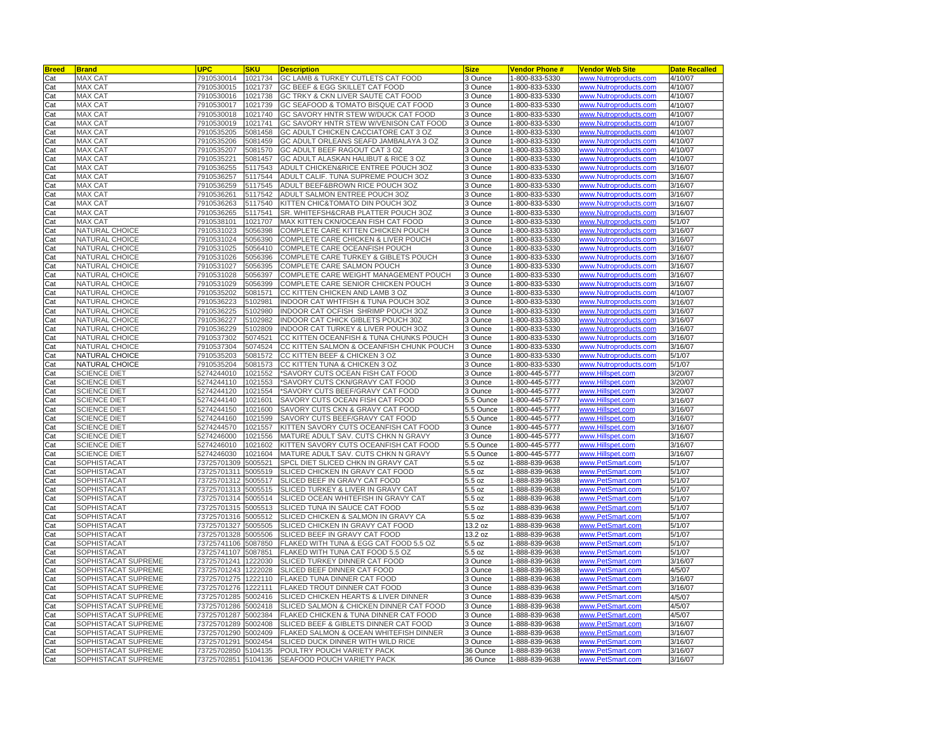| <b>Breed</b> | <b>Brand</b>        | <b>UPC</b>          | SKU     | <b>Description</b>                       | Size      | <b>Vendor Phone #</b> | <u>Vendor Web Sitel</u>      | <b>Date Recalled</b> |
|--------------|---------------------|---------------------|---------|------------------------------------------|-----------|-----------------------|------------------------------|----------------------|
| Cat          | MAX CAT             | 7910530014          | 1021734 | GC LAMB & TURKEY CUTLETS CAT FOOD        | 3 Ounce   | 1-800-833-5330        | www.Nutroproducts.com        | 4/10/07              |
| Cat          | <b>MAX CAT</b>      | 7910530015          | 1021737 | GC BEEF & EGG SKILLET CAT FOOD           | 3 Ounce   | -800-833-5330         | www.Nutroproducts.com        | 4/10/07              |
| Cat          | <b>MAX CAT</b>      | 7910530016          | 1021738 | GC TRKY & CKN LIVER SAUTE CAT FOOD       | 3 Ounce   | -800-833-5330         | ww.Nutroproducts.com         | 4/10/07              |
| Cat          | MAX CAT             | 7910530017          | 1021739 | GC SEAFOOD & TOMATO BISQUE CAT FOOD      | 3 Ounce   | -800-833-5330         | www.Nutroproducts.com        | 4/10/07              |
|              | <b>MAX CAT</b>      |                     | 1021740 | GC SAVORY HNTR STEW W/DUCK CAT FOOD      |           | 1-800-833-5330        | www.Nutroproducts.com        | 4/10/07              |
| Cat          |                     | 7910530018          |         |                                          | 3 Ounce   |                       |                              |                      |
| Cat          | <b>MAX CAT</b>      | 7910530019          | 1021741 | GC SAVORY HNTR STEW W/VENISON CAT FOOD   | 3 Ounce   | -800-833-5330         | ww.Nutroproducts.com         | 4/10/07              |
| Cat          | <b>MAX CAT</b>      | 7910535205          | 5081458 | GC ADULT CHICKEN CACCIATORE CAT 3 OZ     | 3 Ounce   | 1-800-833-5330        | www.Nutroproducts.com        | 4/10/07              |
| Cat          | <b>MAX CAT</b>      | 7910535206          | 5081459 | GC ADULT ORLEANS SEAFD JAMBALAYA 3 OZ    | 3 Ounce   | -800-833-5330         | www.Nutroproducts.com        | 4/10/07              |
| Cat          | <b>MAX CAT</b>      | 7910535207          | 5081570 | GC ADULT BEEF RAGOUT CAT 3 OZ            | 3 Ounce   | 1-800-833-5330        | www.Nutroproducts.com        | 4/10/07              |
| Cat          | <b>MAX CAT</b>      | 7910535221          | 5081457 | GC ADULT ALASKAN HALIBUT & RICE 3 OZ     | 3 Ounce   | 1-800-833-5330        | www.Nutroproducts.com        | 4/10/07              |
| Cat          | <b>MAX CAT</b>      | 7910536255          | 5117543 | ADULT CHICKEN&RICE ENTREE POUCH 3OZ      | 3 Ounce   | 1-800-833-5330        | www.Nutroproducts.com        | 3/16/07              |
| Cat          | <b>MAX CAT</b>      | 7910536257          | 5117544 | ADULT CALIF. TUNA SUPREME POUCH 3OZ      | 3 Ounce   | 1-800-833-5330        | ww.Nutroproducts.com         | 3/16/07              |
| Cat          | <b>MAX CAT</b>      | 7910536259          | 5117545 | ADULT BEEF&BROWN RICE POUCH 3OZ          | 3 Ounce   | 1-800-833-5330        | www.Nutroproducts.com        | 3/16/07              |
| Cat          | <b>MAX CAT</b>      | 7910536261          | 5117542 | ADULT SALMON ENTREE POUCH 3OZ            | 3 Ounce   | 1-800-833-5330        | www.Nutroproducts.com        | 3/16/07              |
| Cat          | <b>MAX CAT</b>      | 7910536263          | 5117540 | KITTEN CHIC&TOMATO DIN POUCH 3OZ         | 3 Ounce   | -800-833-5330         | ww.Nutroproducts.com         | 3/16/07              |
| Cat          | <b>MAX CAT</b>      | 7910536265          | 5117541 | SR. WHITEFSH&CRAB PLATTER POUCH 3OZ      | 3 Ounce   | 1-800-833-5330        | ww.Nutroproducts.com         | 3/16/07              |
|              |                     |                     |         |                                          |           |                       |                              |                      |
| Cat          | MAX CAT             | 7910538101          | 1021707 | MAX KITTEN CKN/OCEAN FISH CAT FOOD       | 3 Ounce   | 1-800-833-5330        | www.Nutroproducts.com        | 5/1/07               |
| Cat          | NATURAL CHOICE      | 7910531023          | 5056398 | COMPLETE CARE KITTEN CHICKEN POUCH       | 3 Ounce   | 1-800-833-5330        | www.Nutroproducts.com        | 3/16/07              |
| Cat          | NATURAL CHOICE      | 7910531024          | 5056390 | COMPLETE CARE CHICKEN & LIVER POUCH      | 3 Ounce   | -800-833-5330         | www.Nutroproducts.com        | 3/16/07              |
| Cat          | NATURAL CHOICE      | 7910531025          | 5056410 | COMPLETE CARE OCEANFISH POUCH            | 3 Ounce   | 1-800-833-5330        | ww.Nutroproducts.com         | 3/16/07              |
| Cat          | NATURAL CHOICE      | 7910531026          | 5056396 | COMPLETE CARE TURKEY & GIBLETS POUCH     | 3 Ounce   | -800-833-5330         | www.Nutroproducts.com        | 3/16/07              |
| Cat          | NATURAL CHOICE      | 7910531027          | 5056395 | COMPLETE CARE SALMON POUCH               | 3 Ounce   | 1-800-833-5330        | www.Nutroproducts.com        | 3/16/07              |
| Cat          | NATURAL CHOICE      | 7910531028          | 5056397 | COMPLETE CARE WEIGHT MANAGEMENT POUCH    | 3 Ounce   | -800-833-5330         | ww.Nutroproducts.com         | 3/16/07              |
| Cat          | NATURAL CHOICE      | 7910531029          | 5056399 | COMPLETE CARE SENIOR CHICKEN POUCH       | 3 Ounce   | -800-833-5330         | ww.Nutroproducts.com         | 3/16/07              |
| Cat          | NATURAL CHOICE      | 7910535202          | 5081571 | CC KITTEN CHICKEN AND LAMB 3 OZ          | 3 Ounce   | -800-833-5330         | ww.Nutroproducts.com         | 4/10/07              |
| Cat          | NATURAL CHOICE      | 7910536223          | 5102981 | INDOOR CAT WHTFISH & TUNA POUCH 3OZ      | 3 Ounce   | 1-800-833-5330        | www.Nutroproducts.com        | 3/16/07              |
|              | NATURAL CHOICE      | 7910536225          | 5102980 | INDOOR CAT OCFISH SHRIMP POUCH 3OZ       | 3 Ounce   | 1-800-833-5330        | www.Nutroproducts.com        | 3/16/07              |
| Cat          |                     |                     |         |                                          |           |                       |                              |                      |
| Cat          | NATURAL CHOICE      | 7910536227          | 5102982 | INDOOR CAT CHICK GIBLETS POUCH 30Z       | 3 Ounce   | -800-833-5330         | ww.Nutroproducts.com         | 3/16/07              |
| Cat          | NATURAL CHOICE      | 7910536229          | 5102809 | INDOOR CAT TURKEY & LIVER POUCH 30Z      | 3 Ounce   | -800-833-5330         | ww.Nutroproducts.com         | 3/16/07              |
| Cat          | NATURAL CHOICE      | 7910537302          | 5074521 | CC KITTEN OCEANFISH & TUNA CHUNKS POUCH  | 3 Ounce   | 1-800-833-5330        | <u>www.Nutroproducts.com</u> | 3/16/07              |
| Cat          | NATURAL CHOICE      | 7910537304          | 5074524 | CC KITTEN SALMON & OCEANFISH CHUNK POUCH | 3 Ounce   | 1-800-833-5330        | www.Nutroproducts.com        | 3/16/07              |
| Cat          | NATURAL CHOICE      | 7910535203          | 5081572 | CC KITTEN BEEF & CHICKEN 3 OZ            | 3 Ounce   | -800-833-5330         | ww.Nutroproducts.com         | 5/1/07               |
| Cat          | NATURAL CHOICE      | 7910535204          | 5081573 | CC KITTEN TUNA & CHICKEN 3 OZ            | 3 Ounce   | 1-800-833-5330        | ww.Nutroproducts.com         | 5/1/07               |
| Cat          | <b>SCIENCE DIET</b> | 5274244010          | 1021552 | 'SAVORY CUTS OCEAN FISH CAT FOOD         | 3 Ounce   | -800-445-5777         | www.Hillspet.com             | 3/20/07              |
| Cat          | <b>SCIENCE DIET</b> | 5274244110          | 1021553 | 'SAVORY CUTS CKN/GRAVY CAT FOOD          | 3 Ounce   | 1-800-445-5777        | www.Hillspet.com             | 3/20/07              |
| Cat          | <b>SCIENCE DIET</b> | 5274244120          | 1021554 | 'SAVORY CUTS BEEF/GRAVY CAT FOOD         | 3 Ounce   | -800-445-5777         | ww.Hillspet.com              | 3/20/07              |
| Cat          | SCIENCE DIET        | 5274244140          | 1021601 | SAVORY CUTS OCEAN FISH CAT FOOD          | 5.5 Ounce | -800-445-5777         | ww.Hillspet.com              | 3/16/07              |
| Cat          | <b>SCIENCE DIET</b> | 5274244150          | 1021600 | SAVORY CUTS CKN & GRAVY CAT FOOD         | 5.5 Ounce | -800-445-5777         | ww.Hillspet.com              | 3/16/07              |
|              |                     |                     |         |                                          |           |                       |                              |                      |
| Cat          | <b>SCIENCE DIET</b> | 5274244160          | 1021599 | SAVORY CUTS BEEF/GRAVY CAT FOOD          | 5.5 Ounce | 1-800-445-5777        | www.Hillspet.com             | 3/16/07              |
| Cat          | <b>SCIENCE DIET</b> | 5274244570          | 1021557 | KITTEN SAVORY CUTS OCEANFISH CAT FOOD    | 3 Ounce   | -800-445-5777         | ww.Hillspet.com              | 3/16/07              |
| Cat          | <b>SCIENCE DIET</b> | 5274246000          | 1021556 | MATURE ADULT SAV. CUTS CHKN N GRAVY      | 3 Ounce   | 1-800-445-5777        | ww.Hillspet.com              | 3/16/07              |
| Cat          | <b>SCIENCE DIET</b> | 5274246010          | 1021602 | KITTEN SAVORY CUTS OCEANFISH CAT FOOD    | 5.5 Ounce | -800-445-5777         | ww.Hillspet.com              | 3/16/07              |
| Cat          | <b>SCIENCE DIET</b> | 5274246030          | 1021604 | MATURE ADULT SAV. CUTS CHKN N GRAVY      | 5.5 Ounce | 1-800-445-5777        | www.Hillspet.com             | 3/16/07              |
| Cat          | <b>SOPHISTACAT</b>  | 73725701309         | 5005521 | SPCL DIET SLICED CHKN IN GRAVY CAT       | 5.5 oz    | 1-888-839-9638        | www.PetSmart.com             | 5/1/07               |
| Cat          | SOPHISTACAT         | 73725701311         | 5005519 | SLICED CHICKEN IN GRAVY CAT FOOD         | 5.5 oz    | -888-839-9638         | www.PetSmart.com             | 5/1/07               |
| Cat          | SOPHISTACAT         | 73725701312         | 5005517 | SLICED BEEF IN GRAVY CAT FOOD            | 5.5 oz    | -888-839-9638         | ww.PetSmart.com              | 5/1/07               |
| Cat          | SOPHISTACAT         | 73725701313         | 5005515 | SLICED TURKEY & LIVER IN GRAVY CAT       | 5.5 oz    | -888-839-9638         | www.PetSmart.com             | 5/1/07               |
| Cat          | <b>SOPHISTACAT</b>  | 73725701314         | 5005514 | SLICED OCEAN WHITEFISH IN GRAVY CAT      | 5.5 oz    | 1-888-839-9638        | www.PetSmart.com             | 5/1/07               |
| Cat          | SOPHISTACAT         | 73725701315         | 5005513 | SLICED TUNA IN SAUCE CAT FOOD            | 5.5 oz    | -888-839-9638         | ww.PetSmart.com              | 5/1/07               |
| Cat          | SOPHISTACAT         | 73725701316         | 5005512 | SLICED CHICKEN & SALMON IN GRAVY CA      | 5.5 oz    | 1-888-839-9638        | www.PetSmart.com             | 5/1/07               |
|              |                     |                     |         |                                          |           |                       |                              |                      |
| Cat          | SOPHISTACAT         | 73725701327         | 5005505 | SLICED CHICKEN IN GRAVY CAT FOOD         | 13.2 oz   | -888-839-9638         | www.PetSmart.com             | 5/1/07               |
| Cat          | SOPHISTACAT         | 73725701328         | 5005506 | SLICED BEEF IN GRAVY CAT FOOD            | 13.2 oz   | 1-888-839-9638        | www.PetSmart.com             | 5/1/07               |
| Cat          | SOPHISTACAT         | 73725741106         | 5087850 | FLAKED WITH TUNA & EGG CAT FOOD 5.5 OZ   | 5.5 oz    | -888-839-9638         | ww.PetSmart.com              | 5/1/07               |
| Cat          | SOPHISTACAT         | 73725741107         | 5087851 | FLAKED WITH TUNA CAT FOOD 5.5 OZ         | 5.5 oz    | 1-888-839-9638        | www.PetSmart.com             | 5/1/07               |
| Cat          | SOPHISTACAT SUPREME | 73725701241         | 1222030 | SLICED TURKEY DINNER CAT FOOD            | 3 Ounce   | -888-839-9638         | ww.PetSmart.com              | 3/16/07              |
| Cat          | SOPHISTACAT SUPREME | 73725701243         | 1222028 | SLICED BEEF DINNER CAT FOOD              | 3 Ounce   | 1-888-839-9638        | www.PetSmart.com             | 4/5/07               |
| Cat          | SOPHISTACAT SUPREME | 73725701275         | 1222110 | FLAKED TUNA DINNER CAT FOOD              | 3 Ounce   | 1-888-839-9638        | www.PetSmart.com             | 3/16/07              |
| Cat          | SOPHISTACAT SUPREME | 73725701276         | 1222111 | FLAKED TROUT DINNER CAT FOOD             | 3 Ounce   | -888-839-9638         | ww.PetSmart.com              | 3/16/07              |
| Cat          | SOPHISTACAT SUPREME | 73725701285         | 5002416 | SLICED CHICKEN HEARTS & LIVER DINNER     | 3 Ounce   | 1-888-839-9638        | ww.PetSmart.com              | 4/5/07               |
| Cat          | SOPHISTACAT SUPREME | 73725701286         | 5002418 | SLICED SALMON & CHICKEN DINNER CAT FOOD  | 3 Ounce   | 1-888-839-9638        | www.PetSmart.com             | 4/5/07               |
|              | SOPHISTACAT SUPREME | 73725701287         | 5002384 | FLAKED CHICKEN & TUNA DINNER CAT FOOD    | 3 Ounce   | 1-888-839-9638        | www.PetSmart.com             | 4/5/07               |
| Cat          |                     |                     |         |                                          |           |                       |                              |                      |
| Cat          | SOPHISTACAT SUPREME | 73725701289         | 5002408 | SLICED BEEF & GIBLETS DINNER CAT FOOD    | 3 Ounce   | -888-839-9638         | vww.PetSmart.com             | 3/16/07              |
| Cat          | SOPHISTACAT SUPREME | 73725701290         | 5002409 | FLAKED SALMON & OCEAN WHITEFISH DINNER   | 3 Ounce   | 1-888-839-9638        | ww.PetSmart.com              | 3/16/07              |
| Cat          | SOPHISTACAT SUPREME | 73725701291         | 5002454 | SLICED DUCK DINNER WITH WILD RICE        | 3 Ounce   | -888-839-9638         | www.PetSmart.com             | 3/16/07              |
| Cat          | SOPHISTACAT SUPREME | 73725702850         | 5104135 | POULTRY POUCH VARIETY PACK               | 36 Ounce  | 1-888-839-9638        | www.PetSmart.com             | 3/16/07              |
| Cat          | SOPHISTACAT SUPREME | 73725702851 5104136 |         | SEAFOOD POUCH VARIETY PACK               | 36 Ounce  | 1-888-839-9638        | www.PetSmart.com             | 3/16/07              |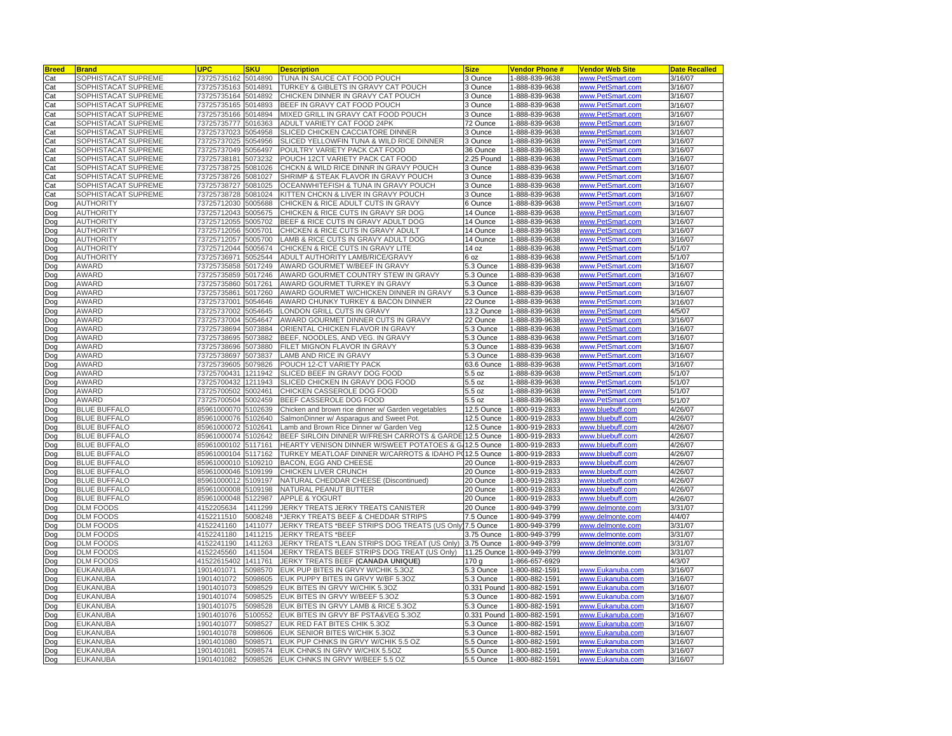| <b>Breed</b> | <b>Brand</b>                               | <b>UPC</b>  | SKU                | <b>Description</b>                                                   | <b>Size</b> | <b>Vendor Phone #</b> | <b>Vendor Web Site</b>               | <b>Date Recalled</b> |
|--------------|--------------------------------------------|-------------|--------------------|----------------------------------------------------------------------|-------------|-----------------------|--------------------------------------|----------------------|
| Cat          | SOPHISTACAT SUPREME                        | 73725735162 | 5014890            | TUNA IN SAUCE CAT FOOD POUCH                                         | 3 Ounce     | 1-888-839-9638        | www.PetSmart.com                     | 3/16/07              |
| Cat          | SOPHISTACAT SUPREME                        | 73725735163 | 5014891            | TURKEY & GIBLETS IN GRAVY CAT POUCH                                  | 3 Ounce     | 1-888-839-9638        | ww.PetSmart.com                      | 3/16/07              |
| Cat          | SOPHISTACAT SUPREME                        | 3725735164  | 5014892            | CHICKEN DINNER IN GRAVY CAT POUCH                                    | 3 Ounce     | -888-839-9638         | ww.PetSmart.com                      | 3/16/07              |
| Cat          | SOPHISTACAT SUPREME                        | 73725735165 | 5014893            | BEEF IN GRAVY CAT FOOD POUCH                                         | 3 Ounce     | 1-888-839-9638        | www.PetSmart.com                     | 3/16/07              |
| Cat          | SOPHISTACAT SUPREME                        | 73725735166 | 5014894            | MIXED GRILL IN GRAVY CAT FOOD POUCH                                  | 3 Ounce     | 1-888-839-9638        | www.PetSmart.com                     | 3/16/07              |
| Cat          | SOPHISTACAT SUPREME                        | 73725735777 | 5016363            | ADULT VARIETY CAT FOOD 24PK                                          | 72 Ounce    | -888-839-9638         | www.PetSmart.com                     | 3/16/07              |
| Cat          | SOPHISTACAT SUPREME                        | 73725737023 | 5054958            | SLICED CHICKEN CACCIATORE DINNER                                     | 3 Ounce     | -888-839-9638         | ww.PetSmart.com                      | 3/16/07              |
| Cat          | SOPHISTACAT SUPREME                        | 73725737025 | 5054956            | SLICED YELLOWFIN TUNA & WILD RICE DINNER                             | 3 Ounce     | 888-839-9638          | www.PetSmart.com                     | 3/16/07              |
| Cat          | SOPHISTACAT SUPREME                        | 73725737049 | 5056497            | POULTRY VARIETY PACK CAT FOOD                                        | 36 Ounce    | 1-888-839-9638        | www.PetSmart.com                     | 3/16/07              |
| Cat          | SOPHISTACAT SUPREME                        | 73725738181 | 5073232            | POUCH 12CT VARIETY PACK CAT FOOD                                     | 2.25 Pound  | -888-839-9638         | www.PetSmart.com                     | 3/16/07              |
| Cat          | SOPHISTACAT SUPREME                        | 73725738725 | 5081026            | CHCKN & WILD RICE DINNR IN GRAVY POUCH                               | 3 Ounce     | -888-839-9638         | www.PetSmart.com                     | 3/16/07              |
| Cat          | SOPHISTACAT SUPREME                        | 73725738726 | 5081027            | SHRIMP & STEAK FLAVOR IN GRAVY POUCH                                 | 3 Ounce     | -888-839-9638         | ww.PetSmart.com                      | 3/16/07              |
| Cat          | SOPHISTACAT SUPREME                        | 73725738727 | 5081025            | OCEANWHITEFISH & TUNA IN GRAVY POUCH                                 | 3 Ounce     | 1-888-839-9638        | www.PetSmart.com                     | 3/16/07              |
| Cat          | SOPHISTACAT SUPREME                        | 73725738728 | 5081024            | KITTEN CHCKN & LIVER IN GRAVY POUCH                                  | 3 Ounce     | -888-839-9638         | ww.PetSmart.com                      | 3/16/07              |
| Dog          | <b>AUTHORITY</b>                           | 73725712030 | 5005688            | CHICKEN & RICE ADULT CUTS IN GRAVY                                   | 6 Ounce     | 1-888-839-9638        | www.PetSmart.com                     | 3/16/07              |
| Dog          | <b>AUTHORITY</b>                           | 73725712043 | 5005675            | CHICKEN & RICE CUTS IN GRAVY SR DOG                                  | 14 Ounce    | 888-839-9638          | ww.PetSmart.com                      | 3/16/07              |
| Dog          | <b>AUTHORITY</b>                           | 73725712055 | 5005702            | BEEF & RICE CUTS IN GRAVY ADULT DOG                                  | 14 Ounce    | 1-888-839-9638        | www.PetSmart.com                     | 3/16/07              |
| Dog          | <b>AUTHORITY</b>                           | 73725712056 | 5005701            | CHICKEN & RICE CUTS IN GRAVY ADULT                                   | 14 Ounce    | 1-888-839-9638        | www.PetSmart.com                     | 3/16/07              |
|              | <b>AUTHORITY</b>                           | 73725712057 | 5005700            | LAMB & RICE CUTS IN GRAVY ADULT DOG                                  | 14 Ounce    | -888-839-9638         | www.PetSmart.com                     | 3/16/07              |
| Dog<br>Doq   | <b>AUTHORITY</b>                           | 73725712044 | 5005674            | CHICKEN & RICE CUTS IN GRAVY LITE                                    | 14 oz       | -888-839-9638         | ww.PetSmart.com                      | 5/1/07               |
|              | <b>AUTHORITY</b>                           |             |                    |                                                                      |             |                       |                                      | 5/1/07               |
| Dog          |                                            | 73725736971 | 5052544            | ADULT AUTHORITY LAMB/RICE/GRAVY                                      | 6 oz        | -888-839-9638         | www.PetSmart.com                     |                      |
| Dog          | AWARD<br>AWARD                             | 73725735858 | 5017249<br>5017246 | AWARD GOURMET W/BEEF IN GRAVY<br>AWARD GOURMET COUNTRY STEW IN GRAVY | 5.3 Ounce   | 1-888-839-9638        | www.PetSmart.com<br>www.PetSmart.com | 3/16/07              |
| Dog          |                                            | 73725735859 |                    |                                                                      | 5.3 Ounce   | -888-839-9638         |                                      | 3/16/07              |
| Dog          | AWARD                                      | 73725735860 | 5017261            | AWARD GOURMET TURKEY IN GRAVY                                        | 5.3 Ounce   | -888-839-9638         | ww.PetSmart.com                      | 3/16/07              |
| Dog          | AWARD                                      | 73725735861 | 5017260            | AWARD GOURMET W/CHICKEN DINNER IN GRAVY                              | 5.3 Ounce   | -888-839-9638         | ww.PetSmart.com                      | 3/16/07              |
| Dog          | AWARD                                      | 73725737001 | 5054646            | AWARD CHUNKY TURKEY & BACON DINNER                                   | 22 Ounce    | 1-888-839-9638        | www.PetSmart.com                     | 3/16/07              |
| poc          | AWARD                                      | 73725737002 | 5054645            | LONDON GRILL CUTS IN GRAVY                                           | 13.2 Ounce  | -888-839-9638         | www.PetSmart.com                     | 4/5/07               |
| Dog          | AWARD                                      | 73725737004 | 5054647            | AWARD GOURMET DINNER CUTS IN GRAVY                                   | 22 Ounce    | -888-839-9638         | ww.PetSmart.com                      | 3/16/07              |
| Dog          | AWARD                                      | 73725738694 | 5073884            | ORIENTAL CHICKEN FLAVOR IN GRAVY                                     | 5.3 Ounce   | -888-839-9638         | ww.PetSmart.com                      | 3/16/07              |
| Dog          | AWARD                                      | 73725738695 | 5073882            | BEEF, NOODLES, AND VEG. IN GRAVY                                     | 5.3 Ounce   | 1-888-839-9638        | www.PetSmart.com                     | 3/16/07              |
| Doq          | AWARD                                      | 73725738696 | 5073880            | FILET MIGNON FLAVOR IN GRAVY                                         | 5.3 Ounce   | -888-839-9638         | www.PetSmart.com                     | 3/16/07              |
| Dog          | AWARD                                      | 73725738697 | 5073837            | AMB AND RICE IN GRAVY                                                | 5.3 Ounce   | -888-839-9638         | www.PetSmart.com                     | 3/16/07              |
| Dog          | AWARD                                      | 73725739605 | 5079826            | POUCH 12-CT VARIETY PACK                                             | 63.6 Ounce  | -888-839-9638         | ww.PetSmart.com                      | 3/16/07              |
| Dog          | AWARD                                      | 73725700431 | 1211942            | SLICED BEEF IN GRAVY DOG FOOD                                        | 5.5 oz      | -888-839-9638         | www.PetSmart.com                     | 5/1/07               |
| Dog          | <b>AWARD</b>                               | 73725700432 | 1211943            | SLICED CHICKEN IN GRAVY DOG FOOD                                     | 5.5 oz      | 1-888-839-9638        | www.PetSmart.com                     | 5/1/07               |
| Dog          | AWARD                                      | 73725700502 | 5002461            | CHICKEN CASSEROLE DOG FOOD                                           | 5.5 oz      | -888-839-9638         | ww.PetSmart.com                      | 5/1/07               |
| Dog          | AWARD                                      | 73725700504 | 5002459            | BEEF CASSEROLE DOG FOOD                                              | 5.5 oz      | -888-839-9638         | www.PetSmart.com                     | 5/1/07               |
| Dog          | <b>BLUE BUFFALO</b>                        | 85961000070 | 5102639            | Chicken and brown rice dinner w/ Garden vegetables                   | 12.5 Ounce  | -800-919-2833         | ww.bluebuff.com                      | 4/26/07              |
| Dog          | <b>BLUE BUFFALO</b>                        | 85961000076 | 5102640            | SalmonDinner w/ Asparagus and Sweet Pot.                             | 12.5 Ounce  | 1-800-919-2833        | www.bluebuff.com                     | 4/26/07              |
| Dog          | <b>BLUE BUFFALO</b>                        | 85961000072 | 5102641            | Lamb and Brown Rice Dinner w/ Garden Veg                             | 12.5 Ounce  | $-800 - 919 - 2833$   | ww.bluebuff.com                      | 4/26/07              |
| Dog          | <b>BLUE BUFFALO</b>                        | 85961000074 | 5102642            | BEEF SIRLOIN DINNER W/FRESH CARROTS & GARDE                          | 12.5 Ounce  | 1-800-919-2833        | ww.bluebuff.com                      | 4/26/07              |
| Dog          | <b>BLUE BUFFALO</b>                        | 85961000102 | 5117161            | HEARTY VENISON DINNER W/SWEET POTATOES & G/                          | 12.5 Ounce  | -800-919-2833         | ww.bluebuff.com                      | 4/26/07              |
| Dog          | <b>BLUE BUFFALO</b>                        | 85961000104 | 5117162            | TURKEY MEATLOAF DINNER W/CARROTS & IDAHO P(12.5 Ounce                |             | -800-919-2833         | www.bluebuff.com                     | 4/26/07              |
| poC          | <b>BLUE BUFFALO</b>                        | 85961000010 | 5109210            | BACON, EGG AND CHEESE                                                | 20 Ounce    | 1-800-919-2833        | www.bluebuff.com                     | 4/26/07              |
| Dog          | <b>BLUE BUFFALO</b>                        | 85961000046 | 5109199            | CHICKEN LIVER CRUNCH                                                 | 20 Ounce    | -800-919-2833         | www.bluebuff.com                     | 4/26/07              |
| Doq          | <b>BLUE BUFFALO</b><br><b>BLUE BUFFALO</b> | 85961000012 | 5109197            | NATURAL CHEDDAR CHEESE (Discontinued)                                | 20 Ounce    | -800-919-2833         | ww.bluebuff.com                      | 4/26/07              |
| Dog          |                                            | 85961000008 | 5109198            | NATURAL PEANUT BUTTER                                                | 20 Ounce    | -800-919-2833         | www.bluebuff.com                     | 4/26/07              |
| Dog          | <b>BLUE BUFFALO</b>                        | 85961000048 | 5122987            | <b>APPLE &amp; YOGURT</b>                                            | 20 Ounce    | 1-800-919-2833        | www.bluebuff.com                     | 4/26/07              |
| Dog          | <b>DLM FOODS</b>                           | 4152205634  | 1411299            | JERKY TREATS JERKY TREATS CANISTER                                   | 20 Ounce    | $-800 - 949 - 3799$   | ww.delmonte.com                      | 3/31/07              |
| Dog          | <b>DLM FOODS</b>                           | 4152211510  | 5008248            | JERKY TREATS BEEF & CHEDDAR STRIPS                                   | 7.5 Ounce   | -800-949-3799         | ww.delmonte.com                      | 4/4/07               |
| Dog          | <b>DLM FOODS</b>                           | 4152241160  | 1411077            | JERKY TREATS *BEEF STRIPS DOG TREATS (US Only) 7.5 Ounce             |             | -800-949-3799         | ww.delmonte.com                      | 3/31/07              |
| Dog          | <b>DLM FOODS</b>                           | 4152241180  | 1411215            | <b>JERKY TREATS *BEEF</b>                                            | 3.75 Ounce  | 1-800-949-3799        | www.delmonte.com                     | 3/31/07              |
| poc          | <b>DLM FOODS</b>                           | 4152241190  | 1411263            | JERKY TREATS *LEAN STRIPS DOG TREAT (US Only)                        | 3.75 Ounce  | 1-800-949-3799        | www.delmonte.com                     | 3/31/07              |
| Dog          | <b>DLM FOODS</b>                           | 4152245560  | 1411504            | JERKY TREATS BEEF STRIPS DOG TREAT (US Only)                         | 11.25 Ounce | -800-949-3799         | ww.delmonte.com                      | 3/31/07              |
| Doq          | <b>DLM FOODS</b>                           | 41522615402 | 1411761            | JERKY TREATS BEEF (CANADA UNIQUE)                                    | 170 g       | -866-657-6929         |                                      | 4/3/07               |
| Dog          | EUKANUBA                                   | 1901401071  | 5098570            | EUK PUP BITES IN GRVY W/CHIK 5.3OZ                                   | 5.3 Ounce   | -800-882-1591         | www.Eukanuba.com                     | 3/16/07              |
| Doq          | EUKANUBA                                   | 1901401072  | 5098605            | EUK PUPPY BITES IN GRVY W/BF 5.30Z                                   | 5.3 Ounce   | 1-800-882-1591        | www.Eukanuba.com                     | 3/16/07              |
| Dog          | EUKANUBA                                   | 1901401073  | 5098529            | EUK BITES IN GRVY W/CHIK 5.3OZ                                       | 0.331 Pound | -800-882-1591         | www.Eukanuba.com                     | 3/16/07              |
| Doq          | EUKANUBA                                   | 1901401074  | 5098525            | EUK BITES IN GRVY W/BEEF 5.3OZ                                       | 5.3 Ounce   | -800-882-1591         | www.Eukanuba.com                     | 3/16/07              |
| Dog          | <b>EUKANUBA</b>                            | 1901401075  | 5098528            | EUK BITES IN GRVY LAMB & RICE 5.30Z                                  | 5.3 Ounce   | -800-882-1591         | www.Eukanuba.com                     | 3/16/07              |
| Dog          | EUKANUBA                                   | 1901401076  | 5100552            | EUK BITES IN GRVY BF PSTA&VEG 5.3OZ                                  | 0.331 Pound | 1-800-882-1591        | www.Eukanuba.com                     | 3/16/07              |
| poc          | EUKANUBA                                   | 1901401077  | 5098527            | EUK RED FAT BITES CHIK 5.3OZ                                         | 5.3 Ounce   | -800-882-1591         | www.Eukanuba.com                     | 3/16/07              |
| Dog          | <b>EUKANUBA</b>                            | 1901401078  | 5098606            | EUK SENIOR BITES W/CHIK 5.30Z                                        | 5.3 Ounce   | -800-882-1591         | ww.Eukanuba                          | 3/16/07              |
| Dog          | <b>EUKANUBA</b>                            | 1901401080  | 5098571            | EUK PUP CHNKS IN GRVY W/CHIK 5.5 OZ                                  | 5.5 Ounce   | -800-882-1591         | ww.Eukanuba.com                      | 3/16/07              |
| Dog          | <b>EUKANUBA</b>                            | 1901401081  | 5098574            | EUK CHNKS IN GRVY W/CHIX 5.5OZ                                       | 5.5 Ounce   | 1-800-882-1591        | www.Eukanuba.com                     | 3/16/07              |
| Dog          | <b>EUKANUBA</b>                            | 1901401082  | 5098526            | EUK CHNKS IN GRVY W/BEEF 5.5 OZ                                      | 5.5 Ounce   | 1-800-882-1591        | www.Eukanuba.com                     | 3/16/07              |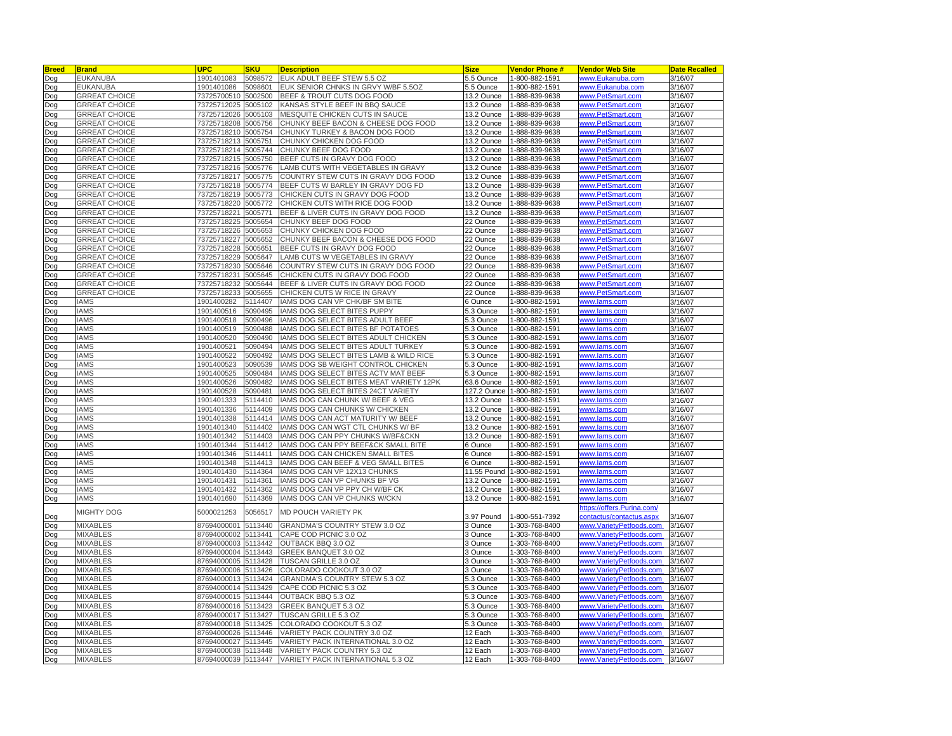| <b>Breed</b> | <b>Brand</b>         | <b>JPC</b>          | <b>SKU</b> | <b>Description</b>                      | <b>Size</b>        | <b>Vendor Phone#</b> | <b>Vendor Web Site</b>    | <b>Date Recalled</b> |
|--------------|----------------------|---------------------|------------|-----------------------------------------|--------------------|----------------------|---------------------------|----------------------|
| Dog          | <b>EUKANUBA</b>      | 1901401083          | 5098572    | EUK ADULT BEEF STEW 5.5 OZ              | 5.5 Ounce          | 1-800-882-1591       | www.Eukanuba.com          | 3/16/07              |
| Dog          | <b>EUKANUBA</b>      | 1901401086          | 5098601    | EUK SENIOR CHNKS IN GRVY W/BF 5.5OZ     | 5.5 Ounce          | -800-882-1591        | www.Eukanuba.com          | 3/16/07              |
| Dog          | <b>GRREAT CHOICE</b> | 73725700510         | 5002500    | BEEF & TROUT CUTS DOG FOOD              | 13.2 Ounce         | 1-888-839-9638       | www.PetSmart.com          | 3/16/07              |
| Dog          | <b>GRREAT CHOICE</b> | 73725712025         | 5005102    | KANSAS STYLE BEEF IN BBQ SAUCE          | 13.2 Ounce         | 1-888-839-9638       | www.PetSmart.com          | 3/16/07              |
| Dog          | <b>GRREAT CHOICE</b> | 73725712026         | 5005103    | MESQUITE CHICKEN CUTS IN SAUCE          | 13.2 Ounce         | 1-888-839-9638       | www.PetSmart.com          | 3/16/07              |
| Dog          | <b>GRREAT CHOICE</b> | 73725718208         | 5005756    | CHUNKY BEEF BACON & CHEESE DOG FOOD     | 13.2 Ounce         | -888-839-9638        | www.PetSmart.com          | 3/16/07              |
| Dog          | <b>GRREAT CHOICE</b> | 73725718210         | 5005754    | CHUNKY TURKEY & BACON DOG FOOD          | 13.2 Ounce         | 1-888-839-9638       | www.PetSmart.com          | 3/16/07              |
| Dog          | <b>GRREAT CHOICE</b> | 73725718213         | 5005751    | CHUNKY CHICKEN DOG FOOD                 | 13.2 Ounce         | 1-888-839-9638       | www.PetSmart.com          | 3/16/07              |
| Dog          | <b>GRREAT CHOICE</b> | 73725718214         | 5005744    | CHUNKY BEEF DOG FOOD                    | 13.2 Ounce         | 1-888-839-9638       | www.PetSmart.com          | 3/16/07              |
| Dog          | <b>GRREAT CHOICE</b> | 73725718215         | 5005750    | BEEF CUTS IN GRAVY DOG FOOD             | 13.2 Ounce         | -888-839-9638        | www.PetSmart.com          | 3/16/07              |
| Dog          | <b>GRREAT CHOICE</b> | 73725718216         | 5005776    | LAMB CUTS WITH VEGETABLES IN GRAVY      | 13.2 Ounce         | 888-839-9638         | www.PetSmart.com          | 3/16/07              |
| Dog          | <b>GRREAT CHOICE</b> | 73725718217         | 5005775    | COUNTRY STEW CUTS IN GRAVY DOG FOOD     | 13.2 Ounce         | 1-888-839-9638       | www.PetSmart.com          | 3/16/07              |
| Dog          | <b>GRREAT CHOICE</b> | 73725718218         | 5005774    | BEEF CUTS W BARLEY IN GRAVY DOG FD      | 13.2 Ounce         | 1-888-839-9638       | www.PetSmart.com          | 3/16/07              |
|              | <b>GRREAT CHOICE</b> | 73725718219         | 5005773    | CHICKEN CUTS IN GRAVY DOG FOOD          | 13.2 Ounce         | 1-888-839-9638       | www.PetSmart.com          | 3/16/07              |
| Dog          |                      |                     |            |                                         |                    |                      |                           |                      |
| Dog          | <b>GRREAT CHOICE</b> | 73725718220         | 5005772    | CHICKEN CUTS WITH RICE DOG FOOD         | 13.2 Ounce         | 1-888-839-9638       | www.PetSmart.com          | 3/16/07              |
| Dog          | GRREAT CHOICE        | 73725718221         | 5005771    | BEEF & LIVER CUTS IN GRAVY DOG FOOD     | 13.2 Ounce         | 1-888-839-9638       | www.PetSmart.com          | 3/16/07              |
| Dog          | <b>GRREAT CHOICE</b> | 73725718225         | 5005654    | CHUNKY BEEF DOG FOOD                    | 22 Ounce           | 1-888-839-9638       | www.PetSmart.com          | 3/16/07              |
| Dog          | <b>GRREAT CHOICE</b> | 73725718226         | 5005653    | CHUNKY CHICKEN DOG FOOD                 | 22 Ounce           | -888-839-9638        | www.PetSmart.com          | 3/16/07              |
| Dog          | <b>GRREAT CHOICE</b> | 73725718227         | 5005652    | CHUNKY BEEF BACON & CHEESE DOG FOOD     | 22 Ounce           | -888-839-9638        | www.PetSmart.com          | 3/16/07              |
| Dog          | <b>GRREAT CHOICE</b> | 73725718228         | 5005651    | BEEF CUTS IN GRAVY DOG FOOD             | 22 Ounce           | -888-839-9638        | www.PetSmart.com          | 3/16/07              |
| Dog          | <b>GRREAT CHOICE</b> | 73725718229         | 5005647    | LAMB CUTS W VEGETABLES IN GRAVY         | 22 Ounce           | 1-888-839-9638       | www.PetSmart.com          | 3/16/07              |
| Dog          | <b>GRREAT CHOICE</b> | 73725718230         | 5005646    | COUNTRY STEW CUTS IN GRAVY DOG FOOD     | 22 Ounce           | 1-888-839-9638       | www.PetSmart.com          | 3/16/07              |
| Dog          | <b>GRREAT CHOICE</b> | 73725718231         | 5005645    | CHICKEN CUTS IN GRAVY DOG FOOD          | 22 Ounce           | -888-839-9638        | www.PetSmart.com          | $\frac{1}{3}$ 16/07  |
| Dog          | <b>GRREAT CHOICE</b> | 73725718232         | 5005644    | BEEF & LIVER CUTS IN GRAVY DOG FOOD     | 22 Ounce           | -888-839-9638        | www.PetSmart.com          | 3/16/07              |
| Dog          | <b>GRREAT CHOICE</b> | 73725718233         | 5005655    | CHICKEN CUTS W RICE IN GRAVY            | 22 Ounce           | -888-839-9638        | www.PetSmart.com          | 3/16/07              |
| Dog          | <b>IAMS</b>          | 1901400282          | 5114407    | IAMS DOG CAN VP CHK/BF SM BITE          | 6 Ounce            | -800-882-1591        | www.lams.com              | 3/16/07              |
| Dog          | <b>IAMS</b>          | 1901400516          | 5090495    | IAMS DOG SELECT BITES PUPPY             | 5.3 Ounce          | -800-882-1591        | www.lams.com              | 3/16/07              |
| Dog          | <b>IAMS</b>          | 1901400518          | 5090496    | IAMS DOG SELECT BITES ADULT BEEF        | 5.3 Ounce          | -800-882-1591        | www.lams.com              | 3/16/07              |
| Dog          | <b>IAMS</b>          | 1901400519          | 5090488    | IAMS DOG SELECT BITES BF POTATOES       | 5.3 Ounce          | -800-882-1591        | www.lams.com              | 3/16/07              |
| Dog          | <b>IAMS</b>          | 1901400520          | 5090490    | IAMS DOG SELECT BITES ADULT CHICKEN     | 5.3 Ounce          | 1-800-882-1591       | www.lams.com              | 3/16/07              |
| Dog          | <b>IAMS</b>          | 1901400521          | 5090494    | IAMS DOG SELECT BITES ADULT TURKEY      | 5.3 Ounce          | -800-882-1591        | www.lams.com              | 3/16/07              |
| Dog          | <b>IAMS</b>          | 1901400522          | 5090492    | IAMS DOG SELECT BITES LAMB & WILD RICE  | 5.3 Ounce          | 1-800-882-1591       | www.lams.com              | 3/16/07              |
| Dog          | <b>IAMS</b>          | 1901400523          | 5090539    | IAMS DOG SB WEIGHT CONTROL CHICKEN      | 5.3 Ounce          | 1-800-882-1591       | www.lams.com              | 3/16/07              |
| Dog          | <b>IAMS</b>          | 1901400525          | 5090484    | IAMS DOG SELECT BITES ACTV MAT BEEF     | 5.3 Ounce          | 1-800-882-1591       | www.lams.com              | 3/16/07              |
| Dog          | <b>IAMS</b>          | 1901400526          | 5090482    | IAMS DOG SELECT BITES MEAT VARIETY 12PK | 63.6 Ounce         | 1-800-882-1591       | www.lams.com              | 3/16/07              |
| Dog          | <b>IAMS</b>          | 1901400528          | 5090481    | IAMS DOG SELECT BITES 24CT VARIETY      | 127.2 Ounce        | 1-800-882-1591       | www.lams.com              | 3/16/07              |
| Dog          | <b>IAMS</b>          | 1901401333          | 5114410    | IAMS DOG CAN CHUNK W/ BEEF & VEG        | 13.2 Ounce         | 1-800-882-1591       | www.lams.com              | 3/16/07              |
| Dog          | <b>IAMS</b>          | 1901401336          | 5114409    | IAMS DOG CAN CHUNKS W/ CHICKEN          | 13.2 Ounce         | 1-800-882-1591       | www.lams.com              | 3/16/07              |
| Dog          | <b>IAMS</b>          | 1901401338          | 5114414    | IAMS DOG CAN ACT MATURITY W/ BEEF       | 13.2 Ounce         | 1-800-882-1591       | www.lams.com              | 3/16/07              |
| Dog          | <b>IAMS</b>          | 1901401340          | 5114402    | IAMS DOG CAN WGT CTL CHUNKS W/ BF       | 13.2 Ounce         | -800-882-1591        | www.lams.com              | 3/16/07              |
| Dog          | <b>IAMS</b>          | 1901401342          | 5114403    | IAMS DOG CAN PPY CHUNKS W/BF&CKN        | 13.2 Ounce         | 1-800-882-1591       | www.lams.com              | 3/16/07              |
| Dog          | <b>IAMS</b>          | 1901401344          | 5114412    | IAMS DOG CAN PPY BEEF&CK SMALL BITE     | 6 Ounce            | 1-800-882-1591       | www.lams.com              | 3/16/07              |
| Dog          | <b>IAMS</b>          | 1901401346          | 5114411    | IAMS DOG CAN CHICKEN SMALL BITES        | 6 Ounce            | 1-800-882-1591       | www.lams.com              | 3/16/07              |
| Dog          | <b>IAMS</b>          | 1901401348          | 5114413    | IAMS DOG CAN BEEF & VEG SMALL BITES     | 6 Ounce            | 1-800-882-1591       | www.lams.com              | 3/16/07              |
| Dog          | <b>IAMS</b>          | 1901401430          | 5114364    | IAMS DOG CAN VP 12X13 CHUNKS            | 11.55 Pound        | 1-800-882-1591       | www.lams.com              | 3/16/07              |
| Dog          | <b>IAMS</b>          | 1901401431          | 5114361    | IAMS DOG CAN VP CHUNKS BF VG            | 13.2 Ounce         | 1-800-882-1591       | <u>www.lams.com</u>       | 3/16/07              |
| Dog          | <b>IAMS</b>          | 1901401432          | 5114362    | IAMS DOG CAN VP PPY CH W/BF CK          | 13.2 Ounce         | 1-800-882-1591       | www.lams.com              | 3/16/07              |
| Dog          | <b>IAMS</b>          | 1901401690          | 5114369    | IAMS DOG CAN VP CHUNKS W/CKN            | 13.2 Ounce         | 1-800-882-1591       | www.lams.com              | 3/16/07              |
|              |                      |                     |            |                                         |                    |                      | ttps://offers.Purina.com/ |                      |
| Dog          | MIGHTY DOG           | 5000021253          | 5056517    | MD POUCH VARIETY PK                     | 3.97 Pound         | 1-800-551-7392       | contactus/contactus.aspx  | 3/16/07              |
| Dog          | <b>MIXABLES</b>      | 87694000001         | 5113440    | GRANDMA'S COUNTRY STEW 3.0 OZ           | 3 Ounce            | 1-303-768-8400       | www.VarietyPetfoods.com   | 3/16/07              |
| Dog          | <b>MIXABLES</b>      | 87694000002         | 5113441    | CAPE COD PICNIC 3.0 OZ                  | 3 Ounce            | -303-768-8400        | www.VarietvPetfoods.com   | 3/16/07              |
|              | <b>MIXABLES</b>      | 87694000003         | 5113442    | OUTBACK BBQ 3.0 OZ                      |                    | -303-768-8400        | www.VarietyPetfoods       | 3/16/07              |
| Dog          | <b>MIXABLES</b>      | 87694000004         | 5113443    | GREEK BANQUET 3.0 OZ                    | 3 Ounce<br>3 Ounce | 1-303-768-8400       | www.VarietyPetfoods.com   | 3/16/07              |
| Dog          |                      |                     |            |                                         |                    |                      |                           |                      |
| Dog          | <b>MIXABLES</b>      | 87694000005         | 5113428    | TUSCAN GRILLE 3.0 OZ                    | 3 Ounce            | 1-303-768-8400       | www.VarietyPetfoods.com   | 3/16/07              |
| Dog          | <b>MIXABLES</b>      | 87694000006         | 5113426    | COLORADO COOKOUT 3.0 OZ                 | 3 Ounce            | 1-303-768-8400       | www.VarietvPetfoods.com   | 3/16/07              |
| Dog          | <b>MIXABLES</b>      | 87694000013         | 5113424    | GRANDMA'S COUNTRY STEW 5.3 OZ           | 5.3 Ounce          | -303-768-8400        | www.VarietyPetfoods.com   | 3/16/07              |
| Dog          | <b>MIXABLES</b>      | 87694000014         | 5113429    | CAPE COD PICNIC 5.3 OZ                  | 5.3 Ounce          | 1-303-768-8400       | www.VarietvPetfoods.com   | 3/16/07              |
| Dog          | <b>MIXABLES</b>      | 87694000015 5113444 |            | OUTBACK BBQ 5.3 OZ                      | 5.3 Ounce          | -303-768-8400        | www.VarietyPetfoods.com   | 3/16/07              |
| Dog          | <b>MIXABLES</b>      | 87694000016         | 5113423    | GREEK BANQUET 5.3 OZ                    | 5.3 Ounce          | 1-303-768-8400       | www.VarietyPetfoods.com   | 3/16/07              |
| Dog          | <b>MIXABLES</b>      | 87694000017         | 5113427    | TUSCAN GRILLE 5.3 OZ                    | 5.3 Ounce          | -303-768-8400        | www.VarietyPetfoods.com   | 3/16/07              |
| Dog          | MIXABLES             | 87694000018         | 5113425    | COLORADO COOKOUT 5.3 OZ                 | 5.3 Ounce          | -303-768-8400        | www.VarietyPetfoods.com   | 3/16/07              |
| Dog          | <b>MIXABLES</b>      | 37694000026         | 5113446    | VARIETY PACK COUNTRY 3.0 OZ             | 12 Each            | 1-303-768-8400       | www.VarietyPetfoods.com   | 3/16/07              |
| Dog          | MIXABLES             | 87694000027         | 5113445    | VARIETY PACK INTERNATIONAL 3.0 OZ       | 12 Each            | 1-303-768-8400       | www.VarietyPetfoods.com   | 3/16/07              |
| Dog          | <b>MIXABLES</b>      | 87694000038 5113448 |            | VARIETY PACK COUNTRY 5.3 OZ             | 12 Each            | 1-303-768-8400       | www.VarietyPetfoods.com   | 3/16/07              |
| Dog          | <b>MIXABLES</b>      | 87694000039 5113447 |            | VARIETY PACK INTERNATIONAL 5.3 OZ       | 12 Each            | 1-303-768-8400       | www.VarietyPetfoods.com   | 3/16/07              |